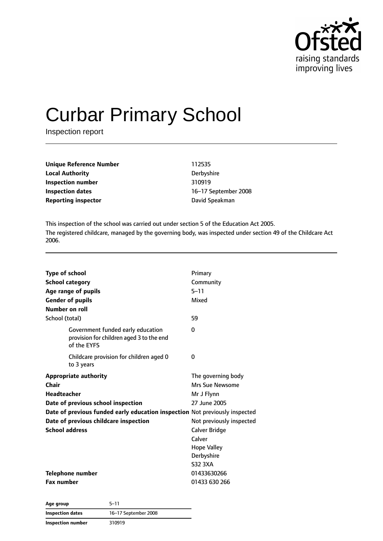

# Curbar Primary School

Inspection report

| Unique Reference Number    | 112535         |
|----------------------------|----------------|
| <b>Local Authority</b>     | Derbyshire     |
| Inspection number          | 310919         |
| Inspection dates           | 16-17 Septembe |
| <b>Reporting inspector</b> | David Speakman |

**Derbyshire Inspection number** 310919 **Inspection dates** 16–17 September 2008

This inspection of the school was carried out under section 5 of the Education Act 2005. The registered childcare, managed by the governing body, was inspected under section 49 of the Childcare Act 2006.

| <b>Type of school</b>                                                                        | Primary                  |  |
|----------------------------------------------------------------------------------------------|--------------------------|--|
| <b>School category</b>                                                                       | Community                |  |
| Age range of pupils                                                                          | $5 - 11$                 |  |
| <b>Gender of pupils</b>                                                                      | Mixed                    |  |
| <b>Number on roll</b>                                                                        |                          |  |
| School (total)                                                                               | 59                       |  |
| Government funded early education<br>provision for children aged 3 to the end<br>of the EYFS | 0                        |  |
| Childcare provision for children aged 0<br>to 3 years                                        | 0                        |  |
| <b>Appropriate authority</b>                                                                 | The governing body       |  |
| Chair                                                                                        | Mrs Sue Newsome          |  |
| <b>Headteacher</b>                                                                           | Mr J Flynn               |  |
| Date of previous school inspection                                                           | 27 June 2005             |  |
| Date of previous funded early education inspection Not previously inspected                  |                          |  |
| Date of previous childcare inspection                                                        | Not previously inspected |  |
| <b>School address</b>                                                                        | Calver Bridge            |  |
|                                                                                              | Calver                   |  |
|                                                                                              | <b>Hope Valley</b>       |  |
|                                                                                              | Derbyshire               |  |
|                                                                                              | <b>S32 3XA</b>           |  |
| <b>Telephone number</b>                                                                      | 01433630266              |  |
| <b>Fax number</b>                                                                            | 01433 630 266            |  |

| Age group         | $5 - 11$             |  |
|-------------------|----------------------|--|
| Inspection dates  | 16-17 September 2008 |  |
| Inspection number | 310919               |  |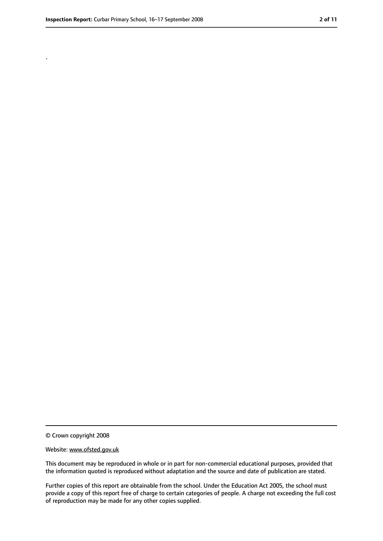.

<sup>©</sup> Crown copyright 2008

Website: www.ofsted.gov.uk

This document may be reproduced in whole or in part for non-commercial educational purposes, provided that the information quoted is reproduced without adaptation and the source and date of publication are stated.

Further copies of this report are obtainable from the school. Under the Education Act 2005, the school must provide a copy of this report free of charge to certain categories of people. A charge not exceeding the full cost of reproduction may be made for any other copies supplied.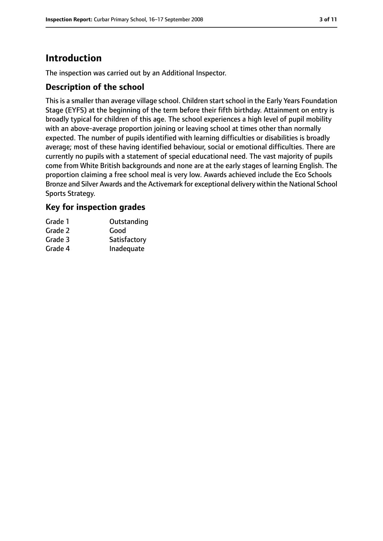# **Introduction**

The inspection was carried out by an Additional Inspector.

#### **Description of the school**

This is a smaller than average village school. Children start school in the Early Years Foundation Stage (EYFS) at the beginning of the term before their fifth birthday. Attainment on entry is broadly typical for children of this age. The school experiences a high level of pupil mobility with an above-average proportion joining or leaving school at times other than normally expected. The number of pupils identified with learning difficulties or disabilities is broadly average; most of these having identified behaviour, social or emotional difficulties. There are currently no pupils with a statement of special educational need. The vast majority of pupils come from White British backgrounds and none are at the early stages of learning English. The proportion claiming a free school meal is very low. Awards achieved include the Eco Schools Bronze and Silver Awards and the Activemark for exceptional delivery within the National School Sports Strategy.

# **Key for inspection grades**

| Grade 1 | Outstanding  |
|---------|--------------|
| Grade 2 | Good         |
| Grade 3 | Satisfactory |
| Grade 4 | Inadequate   |
|         |              |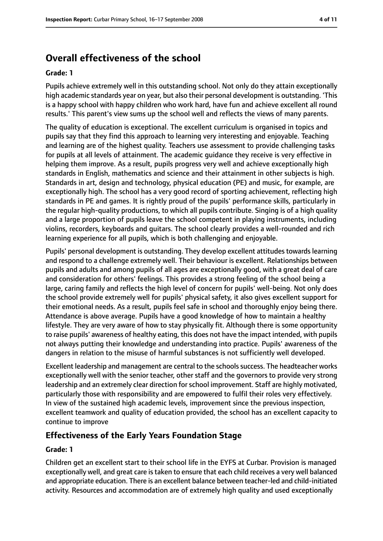# **Overall effectiveness of the school**

#### **Grade: 1**

Pupils achieve extremely well in this outstanding school. Not only do they attain exceptionally high academic standards year on year, but also their personal development is outstanding. 'This is a happy school with happy children who work hard, have fun and achieve excellent all round results.' This parent's view sums up the school well and reflects the views of many parents.

The quality of education is exceptional. The excellent curriculum is organised in topics and pupils say that they find this approach to learning very interesting and enjoyable. Teaching and learning are of the highest quality. Teachers use assessment to provide challenging tasks for pupils at all levels of attainment. The academic guidance they receive is very effective in helping them improve. As a result, pupils progress very well and achieve exceptionally high standards in English, mathematics and science and their attainment in other subjects is high. Standards in art, design and technology, physical education (PE) and music, for example, are exceptionally high. The school has a very good record of sporting achievement, reflecting high standards in PE and games. It is rightly proud of the pupils' performance skills, particularly in the regular high-quality productions, to which all pupils contribute. Singing is of a high quality and a large proportion of pupils leave the school competent in playing instruments, including violins, recorders, keyboards and guitars. The school clearly provides a well-rounded and rich learning experience for all pupils, which is both challenging and enjoyable.

Pupils' personal development is outstanding. They develop excellent attitudes towards learning and respond to a challenge extremely well. Their behaviour is excellent. Relationships between pupils and adults and among pupils of all ages are exceptionally good, with a great deal of care and consideration for others' feelings. This provides a strong feeling of the school being a large, caring family and reflects the high level of concern for pupils' well-being. Not only does the school provide extremely well for pupils' physical safety, it also gives excellent support for their emotional needs. As a result, pupils feel safe in school and thoroughly enjoy being there. Attendance is above average. Pupils have a good knowledge of how to maintain a healthy lifestyle. They are very aware of how to stay physically fit. Although there is some opportunity to raise pupils' awareness of healthy eating, this does not have the impact intended, with pupils not always putting their knowledge and understanding into practice. Pupils' awareness of the dangers in relation to the misuse of harmful substances is not sufficiently well developed.

Excellent leadership and management are central to the schools success. The headteacher works exceptionally well with the senior teacher, other staff and the governors to provide very strong leadership and an extremely clear direction forschool improvement. Staff are highly motivated, particularly those with responsibility and are empowered to fulfil their roles very effectively. In view of the sustained high academic levels, improvement since the previous inspection, excellent teamwork and quality of education provided, the school has an excellent capacity to continue to improve

#### **Effectiveness of the Early Years Foundation Stage**

#### **Grade: 1**

Children get an excellent start to their school life in the EYFS at Curbar. Provision is managed exceptionally well, and great care is taken to ensure that each child receives a very well balanced and appropriate education. There is an excellent balance between teacher-led and child-initiated activity. Resources and accommodation are of extremely high quality and used exceptionally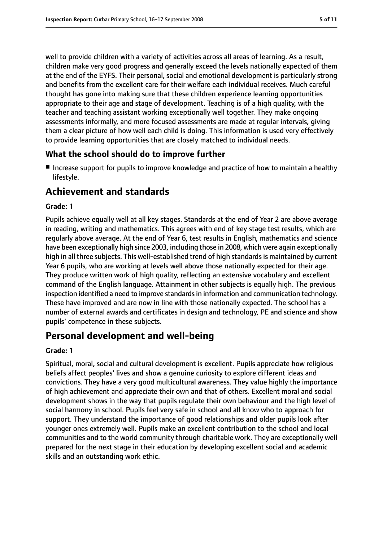well to provide children with a variety of activities across all areas of learning. As a result, children make very good progress and generally exceed the levels nationally expected of them at the end of the EYFS. Their personal, social and emotional development is particularly strong and benefits from the excellent care for their welfare each individual receives. Much careful thought has gone into making sure that these children experience learning opportunities appropriate to their age and stage of development. Teaching is of a high quality, with the teacher and teaching assistant working exceptionally well together. They make ongoing assessments informally, and more focused assessments are made at regular intervals, giving them a clear picture of how well each child is doing. This information is used very effectively to provide learning opportunities that are closely matched to individual needs.

#### **What the school should do to improve further**

■ Increase support for pupils to improve knowledge and practice of how to maintain a healthy lifestyle.

# **Achievement and standards**

#### **Grade: 1**

Pupils achieve equally well at all key stages. Standards at the end of Year 2 are above average in reading, writing and mathematics. This agrees with end of key stage test results, which are regularly above average. At the end of Year 6, test results in English, mathematics and science have been exceptionally high since 2003, including those in 2008, which were again exceptionally high in all three subjects. This well-established trend of high standards is maintained by current Year 6 pupils, who are working at levels well above those nationally expected for their age. They produce written work of high quality, reflecting an extensive vocabulary and excellent command of the English language. Attainment in other subjects is equally high. The previous inspection identified a need to improve standardsin information and communication technology. These have improved and are now in line with those nationally expected. The school has a number of external awards and certificates in design and technology, PE and science and show pupils' competence in these subjects.

# **Personal development and well-being**

#### **Grade: 1**

Spiritual, moral, social and cultural development is excellent. Pupils appreciate how religious beliefs affect peoples' lives and show a genuine curiosity to explore different ideas and convictions. They have a very good multicultural awareness. They value highly the importance of high achievement and appreciate their own and that of others. Excellent moral and social development shows in the way that pupils regulate their own behaviour and the high level of social harmony in school. Pupils feel very safe in school and all know who to approach for support. They understand the importance of good relationships and older pupils look after younger ones extremely well. Pupils make an excellent contribution to the school and local communities and to the world community through charitable work. They are exceptionally well prepared for the next stage in their education by developing excellent social and academic skills and an outstanding work ethic.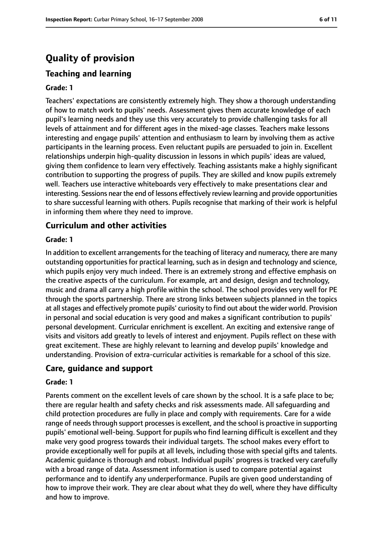# **Quality of provision**

### **Teaching and learning**

#### **Grade: 1**

Teachers' expectations are consistently extremely high. They show a thorough understanding of how to match work to pupils' needs. Assessment gives them accurate knowledge of each pupil's learning needs and they use this very accurately to provide challenging tasks for all levels of attainment and for different ages in the mixed-age classes. Teachers make lessons interesting and engage pupils' attention and enthusiasm to learn by involving them as active participants in the learning process. Even reluctant pupils are persuaded to join in. Excellent relationships underpin high-quality discussion in lessons in which pupils' ideas are valued, giving them confidence to learn very effectively. Teaching assistants make a highly significant contribution to supporting the progress of pupils. They are skilled and know pupils extremely well. Teachers use interactive whiteboards very effectively to make presentations clear and interesting. Sessions near the end of lessons effectively review learning and provide opportunities to share successful learning with others. Pupils recognise that marking of their work is helpful in informing them where they need to improve.

#### **Curriculum and other activities**

#### **Grade: 1**

In addition to excellent arrangements for the teaching of literacy and numeracy, there are many outstanding opportunities for practical learning, such as in design and technology and science, which pupils enjoy very much indeed. There is an extremely strong and effective emphasis on the creative aspects of the curriculum. For example, art and design, design and technology, music and drama all carry a high profile within the school. The school provides very well for PE through the sports partnership. There are strong links between subjects planned in the topics at all stages and effectively promote pupils' curiosity to find out about the wider world. Provision in personal and social education is very good and makes a significant contribution to pupils' personal development. Curricular enrichment is excellent. An exciting and extensive range of visits and visitors add greatly to levels of interest and enjoyment. Pupils reflect on these with great excitement. These are highly relevant to learning and develop pupils' knowledge and understanding. Provision of extra-curricular activities is remarkable for a school of this size.

#### **Care, guidance and support**

#### **Grade: 1**

Parents comment on the excellent levels of care shown by the school. It is a safe place to be; there are regular health and safety checks and risk assessments made. All safeguarding and child protection procedures are fully in place and comply with requirements. Care for a wide range of needs through support processes is excellent, and the school is proactive in supporting pupils' emotional well-being. Support for pupils who find learning difficult is excellent and they make very good progress towards their individual targets. The school makes every effort to provide exceptionally well for pupils at all levels, including those with special gifts and talents. Academic guidance is thorough and robust. Individual pupils' progress is tracked very carefully with a broad range of data. Assessment information is used to compare potential against performance and to identify any underperformance. Pupils are given good understanding of how to improve their work. They are clear about what they do well, where they have difficulty and how to improve.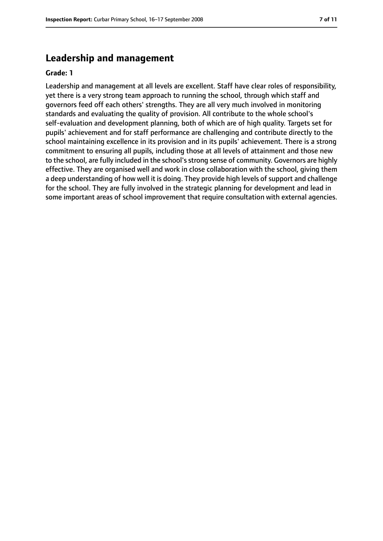### **Leadership and management**

#### **Grade: 1**

Leadership and management at all levels are excellent. Staff have clear roles of responsibility, yet there is a very strong team approach to running the school, through which staff and governors feed off each others' strengths. They are all very much involved in monitoring standards and evaluating the quality of provision. All contribute to the whole school's self-evaluation and development planning, both of which are of high quality. Targets set for pupils' achievement and for staff performance are challenging and contribute directly to the school maintaining excellence in its provision and in its pupils' achievement. There is a strong commitment to ensuring all pupils, including those at all levels of attainment and those new to the school, are fully included in the school's strong sense of community. Governors are highly effective. They are organised well and work in close collaboration with the school, giving them a deep understanding of how well it is doing. They provide high levels of support and challenge for the school. They are fully involved in the strategic planning for development and lead in some important areas of school improvement that require consultation with external agencies.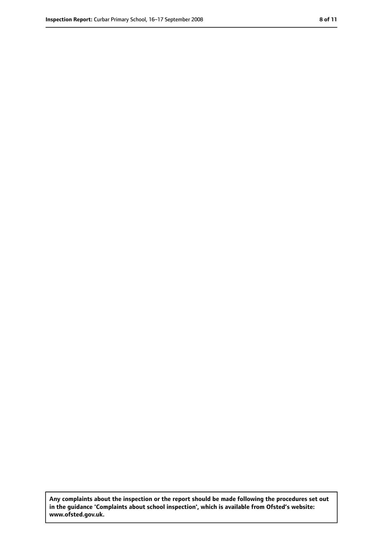**Any complaints about the inspection or the report should be made following the procedures set out in the guidance 'Complaints about school inspection', which is available from Ofsted's website: www.ofsted.gov.uk.**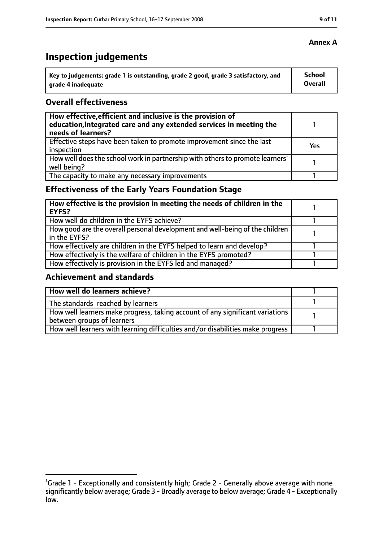# **Inspection judgements**

| $^{\rm t}$ Key to judgements: grade 1 is outstanding, grade 2 good, grade 3 satisfactory, and | School         |
|-----------------------------------------------------------------------------------------------|----------------|
| arade 4 inadequate                                                                            | <b>Overall</b> |

#### **Overall effectiveness**

| How effective, efficient and inclusive is the provision of<br>education, integrated care and any extended services in meeting the<br>needs of learners? |     |
|---------------------------------------------------------------------------------------------------------------------------------------------------------|-----|
| Effective steps have been taken to promote improvement since the last<br>inspection                                                                     | Yes |
| How well does the school work in partnership with others to promote learners'<br>well being?                                                            |     |
| The capacity to make any necessary improvements                                                                                                         |     |

# **Effectiveness of the Early Years Foundation Stage**

| How effective is the provision in meeting the needs of children in the<br><b>EYFS?</b>       |  |
|----------------------------------------------------------------------------------------------|--|
| How well do children in the EYFS achieve?                                                    |  |
| How good are the overall personal development and well-being of the children<br>in the EYFS? |  |
| How effectively are children in the EYFS helped to learn and develop?                        |  |
| How effectively is the welfare of children in the EYFS promoted?                             |  |
| How effectively is provision in the EYFS led and managed?                                    |  |

#### **Achievement and standards**

| How well do learners achieve?                                                  |  |
|--------------------------------------------------------------------------------|--|
| The standards <sup>1</sup> reached by learners                                 |  |
| How well learners make progress, taking account of any significant variations  |  |
| between groups of learners                                                     |  |
| How well learners with learning difficulties and/or disabilities make progress |  |

<sup>&</sup>lt;sup>1</sup>Grade 1 - Exceptionally and consistently high; Grade 2 - Generally above average with none significantly below average; Grade 3 - Broadly average to below average; Grade 4 - Exceptionally low.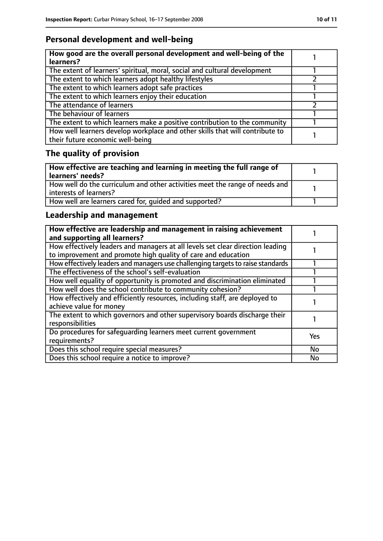# **Personal development and well-being**

| How good are the overall personal development and well-being of the<br>learners?                                 |  |
|------------------------------------------------------------------------------------------------------------------|--|
| The extent of learners' spiritual, moral, social and cultural development                                        |  |
| The extent to which learners adopt healthy lifestyles                                                            |  |
| The extent to which learners adopt safe practices                                                                |  |
| The extent to which learners enjoy their education                                                               |  |
| The attendance of learners                                                                                       |  |
| The behaviour of learners                                                                                        |  |
| The extent to which learners make a positive contribution to the community                                       |  |
| How well learners develop workplace and other skills that will contribute to<br>their future economic well-being |  |

# **The quality of provision**

| How effective are teaching and learning in meeting the full range of<br>learners' needs?              |  |
|-------------------------------------------------------------------------------------------------------|--|
| How well do the curriculum and other activities meet the range of needs and<br>interests of learners? |  |
| How well are learners cared for, quided and supported?                                                |  |

# **Leadership and management**

| How effective are leadership and management in raising achievement<br>and supporting all learners?                                              |           |
|-------------------------------------------------------------------------------------------------------------------------------------------------|-----------|
| How effectively leaders and managers at all levels set clear direction leading<br>to improvement and promote high quality of care and education |           |
| How effectively leaders and managers use challenging targets to raise standards                                                                 |           |
| The effectiveness of the school's self-evaluation                                                                                               |           |
| How well equality of opportunity is promoted and discrimination eliminated                                                                      |           |
| How well does the school contribute to community cohesion?                                                                                      |           |
| How effectively and efficiently resources, including staff, are deployed to<br>achieve value for money                                          |           |
| The extent to which governors and other supervisory boards discharge their<br>responsibilities                                                  |           |
| Do procedures for safequarding learners meet current government<br>requirements?                                                                | Yes       |
| Does this school require special measures?                                                                                                      | <b>No</b> |
| Does this school require a notice to improve?                                                                                                   | <b>No</b> |